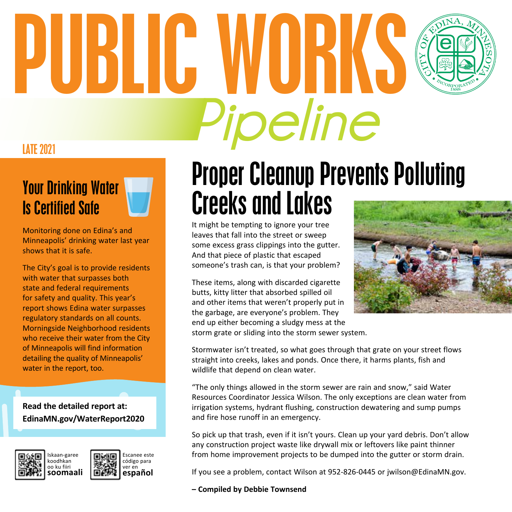# LATE 2021 **Pipeline** PUBLIC WORKS

## Your Drinking Water

Is Certified Safe

Monitoring done on Edina's and Minneapolis' drinking water last year shows that it is safe.

The City's goal is to provide residents with water that surpasses both state and federal requirements for safety and quality. This year's report shows Edina water surpasses regulatory standards on all counts. Morningside Neighborhood residents who receive their water from the City of Minneapolis will find information detailing the quality of Minneapolis' water in the report, too.

**Read the detailed report at: EdinaMN.gov/WaterReport2020**





### Proper Cleanup Prevents Polluting Creeks and Lakes

It might be tempting to ignore your tree leaves that fall into the street or sweep some excess grass clippings into the gutter. And that piece of plastic that escaped someone's trash can, is that your problem?

These items, along with discarded cigarette butts, kitty litter that absorbed spilled oil and other items that weren't properly put in the garbage, are everyone's problem. They end up either becoming a sludgy mess at the storm grate or sliding into the storm sewer system.



Stormwater isn't treated, so what goes through that grate on your street flows straight into creeks, lakes and ponds. Once there, it harms plants, fish and wildlife that depend on clean water.

"The only things allowed in the storm sewer are rain and snow," said Water Resources Coordinator Jessica Wilson. The only exceptions are clean water from irrigation systems, hydrant flushing, construction dewatering and sump pumps and fire hose runoff in an emergency.

So pick up that trash, even if it isn't yours. Clean up your yard debris. Don't allow any construction project waste like drywall mix or leftovers like paint thinner from home improvement projects to be dumped into the gutter or storm drain.

If you see a problem, contact Wilson at 952-826-0445 or jwilson@EdinaMN.gov.

#### **– Compiled by Debbie Townsend**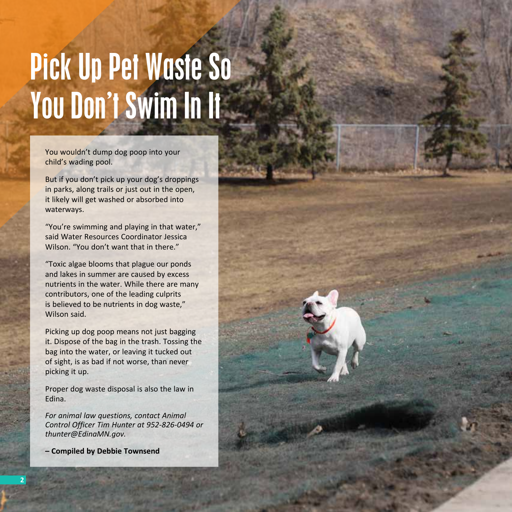## Pick Up Pet Waste So You Don't Swim In It

You wouldn't dump dog poop into your child's wading pool.

But if you don't pick up your dog's droppings in parks, along trails or just out in the open, it likely will get washed or absorbed into waterways.

"You're swimming and playing in that water," said Water Resources Coordinator Jessica Wilson. "You don't want that in there."

"Toxic algae blooms that plague our ponds and lakes in summer are caused by excess nutrients in the water. While there are many contributors, one of the leading culprits is believed to be nutrients in dog waste," Wilson said.

Picking up dog poop means not just bagging it. Dispose of the bag in the trash. Tossing the bag into the water, or leaving it tucked out of sight, is as bad if not worse, than never picking it up.

Proper dog waste disposal is also the law in Edina.

*For animal law questions, contact Animal Control Officer Tim Hunter at 952-826-0494 or thunter@EdinaMN.gov.*

**– Compiled by Debbie Townsend**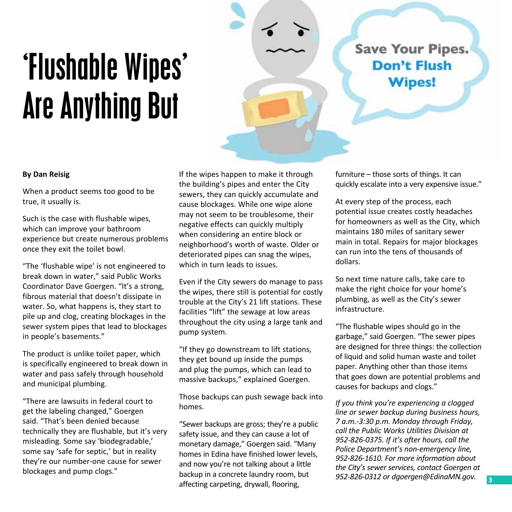## 'Flushable Wipes' Are Anything But

**Save Your Pipes.** Don't Flush **Wipes!** 

#### **By Dan Reisig**

When a product seems too good to be true, it usually is.

Such is the case with flushable wipes, which can improve your bathroom experience but create numerous problems once they exit the toilet bowl.

"The 'flushable wipe' is not engineered to break down in water," said Public Works Coordinator Dave Goergen. "It's a strong, fibrous material that doesn't dissipate in water. So, what happens is, they start to pile up and clog, creating blockages in the sewer system pipes that lead to blockages in people's basements."

The product is unlike toilet paper, which is specifically engineered to break down in water and pass safely through household and municipal plumbing.

"There are lawsuits in federal court to get the labeling changed," Goergen said. "That's been denied because technically they are flushable, but it's very misleading. Some say 'biodegradable,' some say 'safe for septic,' but in reality they're our number-one cause for sewer blockages and pump clogs."

If the wipes happen to make it through the building's pipes and enter the City sewers, they can quickly accumulate and cause blockages. While one wipe alone may not seem to be troublesome, their negative effects can quickly multiply when considering an entire block or neighborhood's worth of waste. Older or deteriorated pipes can snag the wipes, which in turn leads to issues.

Even if the City sewers do manage to pass the wipes, there still is potential for costly trouble at the City's 21 lift stations. These facilities "lift" the sewage at low areas throughout the city using a large tank and pump system.

"If they go downstream to lift stations, they get bound up inside the pumps and plug the pumps, which can lead to massive backups," explained Goergen.

Those backups can push sewage back into homes.

"Sewer backups are gross; they're a public safety issue, and they can cause a lot of monetary damage," Goergen said. "Many homes in Edina have finished lower levels, and now you're not talking about a little backup in a concrete laundry room, but affecting carpeting, drywall, flooring,

furniture – those sorts of things. It can quickly escalate into a very expensive issue."

At every step of the process, each potential issue creates costly headaches for homeowners as well as the City, which maintains 180 miles of sanitary sewer main in total. Repairs for major blockages can run into the tens of thousands of dollars.

So next time nature calls, take care to make the right choice for your home's plumbing, as well as the City's sewer infrastructure.

"The flushable wipes should go in the garbage," said Goergen. "The sewer pipes are designed for three things: the collection of liquid and solid human waste and toilet paper. Anything other than those items that goes down are potential problems and causes for backups and clogs."

*If you think you're experiencing a clogged line or sewer backup during business hours, 7 a.m.-3:30 p.m. Monday through Friday, call the Public Works Utilities Division at 952-826-0375. If it's after hours, call the Police Department's non-emergency line, 952-826-1610. For more information about the City's sewer services, contact Goergen at 952-826-0312 or dgoergen@EdinaMN.gov.*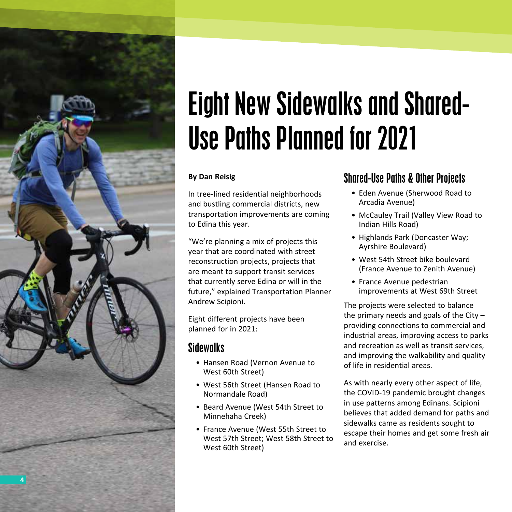

### Eight New Sidewalks and Shared-Use Paths Planned for 2021

#### **By Dan Reisig**

In tree-lined residential neighborhoods and bustling commercial districts, new transportation improvements are coming to Edina this year.

"We're planning a mix of projects this year that are coordinated with street reconstruction projects, projects that are meant to support transit services that currently serve Edina or will in the future," explained Transportation Planner Andrew Scipioni.

Eight different projects have been planned for in 2021:

### **Sidewalks**

- Hansen Road (Vernon Avenue to West 60th Street)
- West 56th Street (Hansen Road to Normandale Road)
- Beard Avenue (West 54th Street to Minnehaha Creek)
- France Avenue (West 55th Street to West 57th Street; West 58th Street to West 60th Street)

### Shared-Use Paths & Other Projects

- Eden Avenue (Sherwood Road to Arcadia Avenue)
- McCauley Trail (Valley View Road to Indian Hills Road)
- Highlands Park (Doncaster Way; Ayrshire Boulevard)
- West 54th Street bike boulevard (France Avenue to Zenith Avenue)
- France Avenue pedestrian improvements at West 69th Street

The projects were selected to balance the primary needs and goals of the City – providing connections to commercial and industrial areas, improving access to parks and recreation as well as transit services, and improving the walkability and quality of life in residential areas.

As with nearly every other aspect of life, the COVID-19 pandemic brought changes in use patterns among Edinans. Scipioni believes that added demand for paths and sidewalks came as residents sought to escape their homes and get some fresh air and exercise.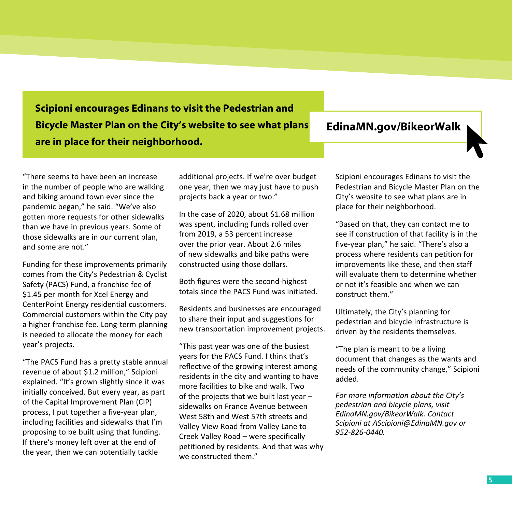**Scipioni encourages Edinans to visit the Pedestrian and Bicycle Master Plan on the City's website to see what plans are in place for their neighborhood.**

#### **EdinaMN.gov/BikeorWalk**

"There seems to have been an increase in the number of people who are walking and biking around town ever since the pandemic began," he said. "We've also gotten more requests for other sidewalks than we have in previous years. Some of those sidewalks are in our current plan, and some are not."

Funding for these improvements primarily comes from the City's Pedestrian & Cyclist Safety (PACS) Fund, a franchise fee of \$1.45 per month for Xcel Energy and CenterPoint Energy residential customers. Commercial customers within the City pay a higher franchise fee. Long-term planning is needed to allocate the money for each year's projects.

"The PACS Fund has a pretty stable annual revenue of about \$1.2 million," Scipioni explained. "It's grown slightly since it was initially conceived. But every year, as part of the Capital Improvement Plan (CIP) process, I put together a five-year plan, including facilities and sidewalks that I'm proposing to be built using that funding. If there's money left over at the end of the year, then we can potentially tackle

additional projects. If we're over budget one year, then we may just have to push projects back a year or two."

In the case of 2020, about \$1.68 million was spent, including funds rolled over from 2019, a 53 percent increase over the prior year. About 2.6 miles of new sidewalks and bike paths were constructed using those dollars.

Both figures were the second-highest totals since the PACS Fund was initiated.

Residents and businesses are encouraged to share their input and suggestions for new transportation improvement projects.

"This past year was one of the busiest years for the PACS Fund. I think that's reflective of the growing interest among residents in the city and wanting to have more facilities to bike and walk. Two of the projects that we built last year – sidewalks on France Avenue between West 58th and West 57th streets and Valley View Road from Valley Lane to Creek Valley Road – were specifically petitioned by residents. And that was why we constructed them."

Scipioni encourages Edinans to visit the Pedestrian and Bicycle Master Plan on the City's website to see what plans are in place for their neighborhood.

"Based on that, they can contact me to see if construction of that facility is in the five-year plan," he said. "There's also a process where residents can petition for improvements like these, and then staff will evaluate them to determine whether or not it's feasible and when we can construct them."

Ultimately, the City's planning for pedestrian and bicycle infrastructure is driven by the residents themselves.

"The plan is meant to be a living document that changes as the wants and needs of the community change," Scipioni added.

*For more information about the City's pedestrian and bicycle plans, visit EdinaMN.gov/BikeorWalk. Contact Scipioni at AScipioni@EdinaMN.gov or 952-826-0440.*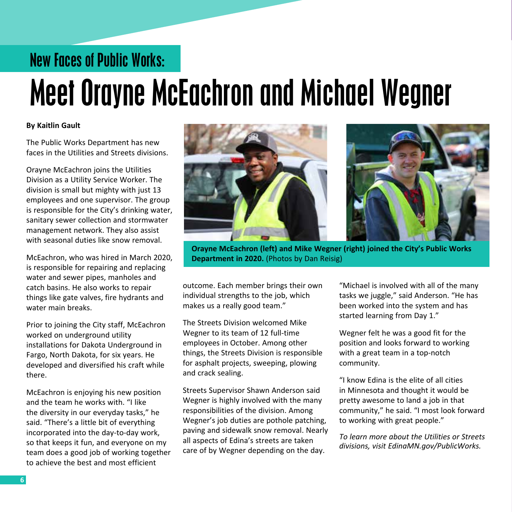### New Faces of Public Works:

## Meet Orayne McEachron and Michael Wegner

#### **By Kaitlin Gault**

The Public Works Department has new faces in the Utilities and Streets divisions.

Orayne McEachron joins the Utilities Division as a Utility Service Worker. The division is small but mighty with just 13 employees and one supervisor. The group is responsible for the City's drinking water, sanitary sewer collection and stormwater management network. They also assist with seasonal duties like snow removal.

McEachron, who was hired in March 2020, is responsible for repairing and replacing water and sewer pipes, manholes and catch basins. He also works to repair things like gate valves, fire hydrants and water main breaks.

Prior to joining the City staff, McEachron worked on underground utility installations for Dakota Underground in Fargo, North Dakota, for six years. He developed and diversified his craft while there.

McEachron is enjoying his new position and the team he works with. "I like the diversity in our everyday tasks," he said. "There's a little bit of everything incorporated into the day-to-day work, so that keeps it fun, and everyone on my team does a good job of working together to achieve the best and most efficient



**Orayne McEachron (left) and Mike Wegner (right) joined the City's Public Works Department in 2020.** (Photos by Dan Reisig)

outcome. Each member brings their own individual strengths to the job, which makes us a really good team."

The Streets Division welcomed Mike Wegner to its team of 12 full-time employees in October. Among other things, the Streets Division is responsible for asphalt projects, sweeping, plowing and crack sealing.

Streets Supervisor Shawn Anderson said Wegner is highly involved with the many responsibilities of the division. Among Wegner's job duties are pothole patching, paving and sidewalk snow removal. Nearly all aspects of Edina's streets are taken care of by Wegner depending on the day.

"Michael is involved with all of the many tasks we juggle," said Anderson. "He has been worked into the system and has started learning from Day 1."

Wegner felt he was a good fit for the position and looks forward to working with a great team in a top-notch community.

"I know Edina is the elite of all cities in Minnesota and thought it would be pretty awesome to land a job in that community," he said. "I most look forward to working with great people."

*To learn more about the Utilities or Streets divisions, visit EdinaMN.gov/PublicWorks.*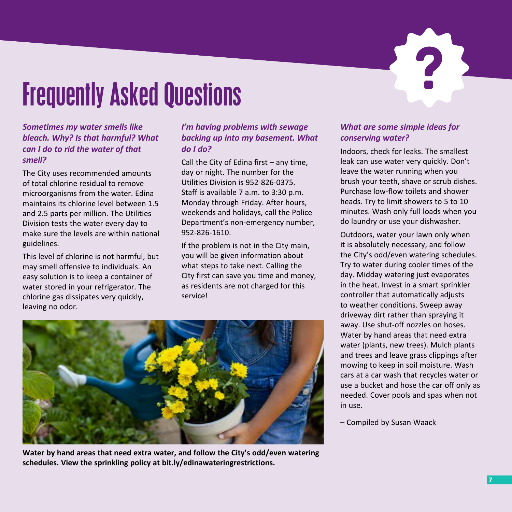### Frequently Asked Questions

#### *Sometimes my water smells like bleach. Why? Is that harmful? What can I do to rid the water of that smell?*

The City uses recommended amounts of total chlorine residual to remove microorganisms from the water. Edina maintains its chlorine level between 1.5 and 2.5 parts per million. The Utilities Division tests the water every day to make sure the levels are within national guidelines.

This level of chlorine is not harmful, but may smell offensive to individuals. An easy solution is to keep a container of water stored in your refrigerator. The chlorine gas dissipates very quickly, leaving no odor.

#### *I'm having problems with sewage backing up into my basement. What do I do?*

Call the City of Edina first – any time, day or night. The number for the Utilities Division is 952-826-0375. Staff is available 7 a.m. to 3:30 p.m. Monday through Friday. After hours, weekends and holidays, call the Police Department's non-emergency number, 952-826-1610.

If the problem is not in the City main, you will be given information about what steps to take next. Calling the City first can save you time and money, as residents are not charged for this service!



**Water by hand areas that need extra water, and follow the City's odd/even watering schedules. View the sprinkling policy at bit.ly/edinawateringrestrictions.**

#### *What are some simple ideas for conserving water?*

Indoors, check for leaks. The smallest leak can use water very quickly. Don't leave the water running when you brush your teeth, shave or scrub dishes. Purchase low-flow toilets and shower heads. Try to limit showers to 5 to 10 minutes. Wash only full loads when you do laundry or use your dishwasher.

Outdoors, water your lawn only when it is absolutely necessary, and follow the City's odd/even watering schedules. Try to water during cooler times of the day. Midday watering just evaporates in the heat. Invest in a smart sprinkler controller that automatically adjusts to weather conditions. Sweep away driveway dirt rather than spraying it away. Use shut-off nozzles on hoses. Water by hand areas that need extra water (plants, new trees). Mulch plants and trees and leave grass clippings after mowing to keep in soil moisture. Wash cars at a car wash that recycles water or use a bucket and hose the car off only as needed. Cover pools and spas when not in use.

– Compiled by Susan Waack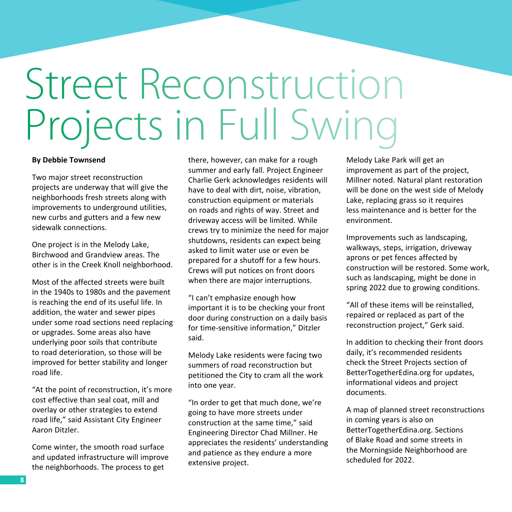## Street Reconstruction Projects in Full Swing

#### **By Debbie Townsend**

Two major street reconstruction projects are underway that will give the neighborhoods fresh streets along with improvements to underground utilities, new curbs and gutters and a few new sidewalk connections.

One project is in the Melody Lake, Birchwood and Grandview areas. The other is in the Creek Knoll neighborhood.

Most of the affected streets were built in the 1940s to 1980s and the pavement is reaching the end of its useful life. In addition, the water and sewer pipes under some road sections need replacing or upgrades. Some areas also have underlying poor soils that contribute to road deterioration, so those will be improved for better stability and longer road life.

"At the point of reconstruction, it's more cost effective than seal coat, mill and overlay or other strategies to extend road life," said Assistant City Engineer Aaron Ditzler.

Come winter, the smooth road surface and updated infrastructure will improve the neighborhoods. The process to get

there, however, can make for a rough summer and early fall. Project Engineer Charlie Gerk acknowledges residents will have to deal with dirt, noise, vibration, construction equipment or materials on roads and rights of way. Street and driveway access will be limited. While crews try to minimize the need for major shutdowns, residents can expect being asked to limit water use or even be prepared for a shutoff for a few hours. Crews will put notices on front doors when there are major interruptions.

"I can't emphasize enough how important it is to be checking your front door during construction on a daily basis for time-sensitive information," Ditzler said.

Melody Lake residents were facing two summers of road reconstruction but petitioned the City to cram all the work into one year.

"In order to get that much done, we're going to have more streets under construction at the same time," said Engineering Director Chad Millner. He appreciates the residents' understanding and patience as they endure a more extensive project.

Melody Lake Park will get an improvement as part of the project, Millner noted. Natural plant restoration will be done on the west side of Melody Lake, replacing grass so it requires less maintenance and is better for the environment.

Improvements such as landscaping, walkways, steps, irrigation, driveway aprons or pet fences affected by construction will be restored. Some work, such as landscaping, might be done in spring 2022 due to growing conditions.

"All of these items will be reinstalled, repaired or replaced as part of the reconstruction project," Gerk said.

In addition to checking their front doors daily, it's recommended residents check the Street Projects section of BetterTogetherEdina.org for updates, informational videos and project documents.

A map of planned street reconstructions in coming years is also on BetterTogetherEdina.org. Sections of Blake Road and some streets in the Morningside Neighborhood are scheduled for 2022.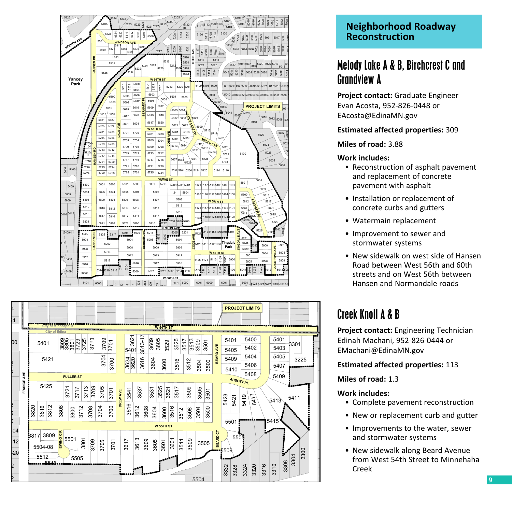



#### **Neighborhood Roadway Reconstruction**

### Melody Lake A & B, Birchcrest C and Grandview A

**Project contact:** Graduate Engineer Evan Acosta, 952-826-0448 or EAcosta@EdinaMN.gov

#### **Estimated affected properties:** 309

#### **Miles of road:** 3.88

#### **Work includes:**

- Reconstruction of asphalt pavement and replacement of concrete pavement with asphalt
- Installation or replacement of concrete curbs and gutters
- Watermain replacement
- Improvement to sewer and stormwater systems
- New sidewalk on west side of Hansen Road between West 56th and 60th streets and on West 56th between Hansen and Normandale roads

### Creek Knoll A & B

**Project contact:** Engineering Technician Edinah Machani, 952-826-0444 or EMachani@EdinaMN.gov

#### **Estimated affected properties:** 113

**Miles of road:** 1.3

#### **Work includes:**

- Complete pavement reconstruction
- New or replacement curb and gutter
- Improvements to the water, sewer and stormwater systems
- New sidewalk along Beard Avenue from West 54th Street to Minnehaha Creek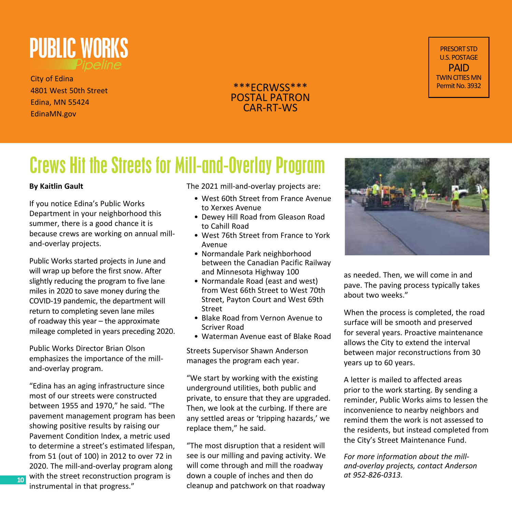

City of Edina 4801 West 50th Street Edina, MN 55424 EdinaMN.gov



PRESORT STD U.S. POSTAGE PAID TWIN CITIES MN Permit No. 3932

### Crews Hit the Streets for Mill-and-Overlay Program

#### **By Kaitlin Gault**

If you notice Edina's Public Works Department in your neighborhood this summer, there is a good chance it is because crews are working on annual milland-overlay projects.

Public Works started projects in June and will wrap up before the first snow. After slightly reducing the program to five lane miles in 2020 to save money during the COVID-19 pandemic, the department will return to completing seven lane miles of roadway this year – the approximate mileage completed in years preceding 2020.

Public Works Director Brian Olson emphasizes the importance of the milland-overlay program.

"Edina has an aging infrastructure since most of our streets were constructed between 1955 and 1970," he said. "The pavement management program has been showing positive results by raising our Pavement Condition Index, a metric used to determine a street's estimated lifespan, from 51 (out of 100) in 2012 to over 72 in 2020. The mill-and-overlay program along with the street reconstruction program is instrumental in that progress."

**10**

The 2021 mill-and-overlay projects are:

- West 60th Street from France Avenue to Xerxes Avenue
- Dewey Hill Road from Gleason Road to Cahill Road
- West 76th Street from France to York Avenue
- Normandale Park neighborhood between the Canadian Pacific Railway and Minnesota Highway 100
- Normandale Road (east and west) from West 66th Street to West 70th Street, Payton Court and West 69th Street
- Blake Road from Vernon Avenue to Scriver Road
- Waterman Avenue east of Blake Road

Streets Supervisor Shawn Anderson manages the program each year.

"We start by working with the existing underground utilities, both public and private, to ensure that they are upgraded. Then, we look at the curbing. If there are any settled areas or 'tripping hazards,' we replace them," he said.

"The most disruption that a resident will see is our milling and paving activity. We will come through and mill the roadway down a couple of inches and then do cleanup and patchwork on that roadway



as needed. Then, we will come in and pave. The paving process typically takes about two weeks."

When the process is completed, the road surface will be smooth and preserved for several years. Proactive maintenance allows the City to extend the interval between major reconstructions from 30 years up to 60 years.

A letter is mailed to affected areas prior to the work starting. By sending a reminder, Public Works aims to lessen the inconvenience to nearby neighbors and remind them the work is not assessed to the residents, but instead completed from the City's Street Maintenance Fund.

*For more information about the milland-overlay projects, contact Anderson at 952-826-0313.*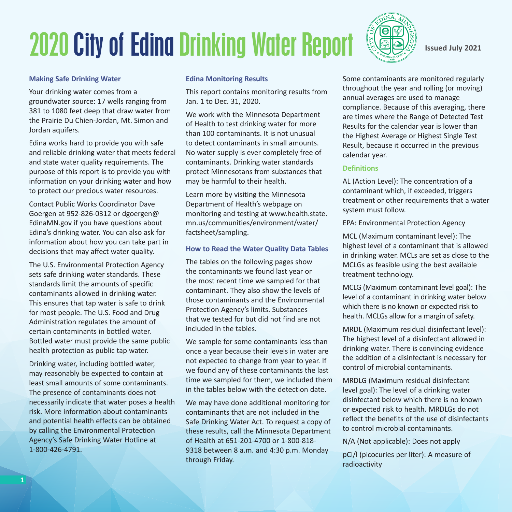### 2020 City of Edina Drinking Water Report



**Issued July 2021**

#### **Making Safe Drinking Water**

Your drinking water comes from a groundwater source: 17 wells ranging from 381 to 1080 feet deep that draw water from the Prairie Du Chien-Jordan, Mt. Simon and Jordan aquifers.

Edina works hard to provide you with safe and reliable drinking water that meets federal and state water quality requirements. The purpose of this report is to provide you with information on your drinking water and how to protect our precious water resources.

Contact Public Works Coordinator Dave Goergen at 952-826-0312 or dgoergen@ EdinaMN.gov if you have questions about Edina's drinking water. You can also ask for information about how you can take part in decisions that may affect water quality.

The U.S. Environmental Protection Agency sets safe drinking water standards. These standards limit the amounts of specific contaminants allowed in drinking water. This ensures that tap water is safe to drink for most people. The U.S. Food and Drug Administration regulates the amount of certain contaminants in bottled water. Bottled water must provide the same public health protection as public tap water.

Drinking water, including bottled water, may reasonably be expected to contain at least small amounts of some contaminants. The presence of contaminants does not necessarily indicate that water poses a health risk. More information about contaminants and potential health effects can be obtained by calling the Environmental Protection Agency's Safe Drinking Water Hotline at 1-800-426-4791.

#### **Edina Monitoring Results**

This report contains monitoring results from Jan. 1 to Dec. 31, 2020.

We work with the Minnesota Department of Health to test drinking water for more than 100 contaminants. It is not unusual to detect contaminants in small amounts. No water supply is ever completely free of contaminants. Drinking water standards protect Minnesotans from substances that may be harmful to their health.

Learn more by visiting the Minnesota Department of Health's webpage on monitoring and testing at www.health.state. mn.us/communities/environment/water/ factsheet/sampling.

#### **How to Read the Water Quality Data Tables**

The tables on the following pages show the contaminants we found last year or the most recent time we sampled for that contaminant. They also show the levels of those contaminants and the Environmental Protection Agency's limits. Substances that we tested for but did not find are not included in the tables.

We sample for some contaminants less than once a year because their levels in water are not expected to change from year to year. If we found any of these contaminants the last time we sampled for them, we included them in the tables below with the detection date.

We may have done additional monitoring for contaminants that are not included in the Safe Drinking Water Act. To request a copy of these results, call the Minnesota Department of Health at 651-201-4700 or 1-800-818- 9318 between 8 a.m. and 4:30 p.m. Monday through Friday.

Some contaminants are monitored regularly throughout the year and rolling (or moving) annual averages are used to manage compliance. Because of this averaging, there are times where the Range of Detected Test Results for the calendar year is lower than the Highest Average or Highest Single Test Result, because it occurred in the previous calendar year.

#### **Definitions**

AL (Action Level): The concentration of a contaminant which, if exceeded, triggers treatment or other requirements that a water system must follow.

EPA: Environmental Protection Agency

MCL (Maximum contaminant level): The highest level of a contaminant that is allowed in drinking water. MCLs are set as close to the MCLGs as feasible using the best available treatment technology.

MCLG (Maximum contaminant level goal): The level of a contaminant in drinking water below which there is no known or expected risk to health. MCLGs allow for a margin of safety.

MRDL (Maximum residual disinfectant level): The highest level of a disinfectant allowed in drinking water. There is convincing evidence the addition of a disinfectant is necessary for control of microbial contaminants.

MRDLG (Maximum residual disinfectant level goal): The level of a drinking water disinfectant below which there is no known or expected risk to health. MRDLGs do not reflect the benefits of the use of disinfectants to control microbial contaminants.

N/A (Not applicable): Does not apply

pCi/l (picocuries per liter): A measure of radioactivity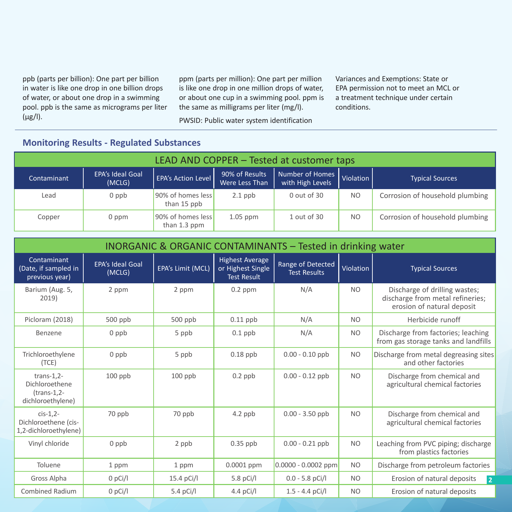ppb (parts per billion): One part per billion in water is like one drop in one billion drops of water, or about one drop in a swimming pool. ppb is the same as micrograms per liter (μg/l).

ppm (parts per million): One part per million is like one drop in one million drops of water, or about one cup in a swimming pool. ppm is the same as milligrams per liter (mg/l).

PWSID: Public water system identification

Variances and Exemptions: State or EPA permission not to meet an MCL or a treatment technique under certain conditions.

### **Monitoring Results - Regulated Substances**

| LEAD AND COPPER - Tested at customer taps |                                   |                                   |                                  |                                     |                |                                 |  |  |  |
|-------------------------------------------|-----------------------------------|-----------------------------------|----------------------------------|-------------------------------------|----------------|---------------------------------|--|--|--|
| Contaminant                               | <b>EPA's Ideal Goal</b><br>(MCLG) | <b>EPA's Action Level</b>         | 90% of Results<br>Were Less Than | Number of Homes<br>with High Levels | Violation      | <b>Typical Sources</b>          |  |  |  |
| Lead                                      | $0$ ppb                           | 90% of homes less<br>than 15 ppb  | $2.1$ ppb                        | $0$ out of 30                       | N <sub>O</sub> | Corrosion of household plumbing |  |  |  |
| Copper                                    | 0 ppm                             | 90% of homes less<br>than 1.3 ppm | $1.05$ ppm                       | 1 out of 30                         | N <sub>O</sub> | Corrosion of household plumbing |  |  |  |

|                                                                      | <b>INORGANIC &amp; ORGANIC CONTAMINANTS - Tested in drinking water</b> |                   |                                                                   |                                          |                |                                                                                                 |  |  |  |  |
|----------------------------------------------------------------------|------------------------------------------------------------------------|-------------------|-------------------------------------------------------------------|------------------------------------------|----------------|-------------------------------------------------------------------------------------------------|--|--|--|--|
| Contaminant<br>(Date, if sampled in<br>previous year)                | <b>EPA's Ideal Goal</b><br>(MCLG)                                      | EPA's Limit (MCL) | <b>Highest Average</b><br>or Highest Single<br><b>Test Result</b> | Range of Detected<br><b>Test Results</b> | Violation      | <b>Typical Sources</b>                                                                          |  |  |  |  |
| Barium (Aug. 5,<br>2019)                                             | 2 ppm                                                                  | 2 ppm             | $0.2$ ppm                                                         | N/A                                      | <b>NO</b>      | Discharge of drilling wastes;<br>discharge from metal refineries;<br>erosion of natural deposit |  |  |  |  |
| Picloram (2018)                                                      | $500$ ppb                                                              | $500$ ppb         | $0.11$ ppb                                                        | N/A                                      | N <sub>O</sub> | Herbicide runoff                                                                                |  |  |  |  |
| Benzene                                                              | $0$ ppb                                                                | 5 ppb             | $0.1$ ppb                                                         | N/A                                      | <b>NO</b>      | Discharge from factories; leaching<br>from gas storage tanks and landfills                      |  |  |  |  |
| Trichloroethylene<br>(TCE)                                           | $0$ ppb                                                                | 5 ppb             | $0.18$ ppb                                                        | $0.00 - 0.10$ ppb                        | <b>NO</b>      | Discharge from metal degreasing sites<br>and other factories                                    |  |  |  |  |
| $trans-1,2-$<br>Dichloroethene<br>$(trans-1,2-$<br>dichloroethylene) | $100$ ppb                                                              | $100$ ppb         | $0.2$ ppb                                                         | $0.00 - 0.12$ ppb                        | <b>NO</b>      | Discharge from chemical and<br>agricultural chemical factories                                  |  |  |  |  |
| $cis-1,2$ -<br>Dichloroethene (cis-<br>1,2-dichloroethylene)         | 70 ppb                                                                 | 70 ppb            | $4.2$ ppb                                                         | $0.00 - 3.50$ ppb                        | <b>NO</b>      | Discharge from chemical and<br>agricultural chemical factories                                  |  |  |  |  |
| Vinyl chloride                                                       | $0$ ppb                                                                | 2 ppb             | $0.35$ ppb                                                        | $0.00 - 0.21$ ppb                        | <b>NO</b>      | Leaching from PVC piping; discharge<br>from plastics factories                                  |  |  |  |  |
| Toluene                                                              | 1 ppm                                                                  | 1 ppm             | $0.0001$ ppm                                                      | $0.0000 - 0.0002$ ppm                    | <b>NO</b>      | Discharge from petroleum factories                                                              |  |  |  |  |
| Gross Alpha                                                          | $0$ pCi/l                                                              | $15.4$ pCi/l      | 5.8 $pCi/l$                                                       | $0.0 - 5.8$ pCi/l                        | <b>NO</b>      | Erosion of natural deposits<br>$\overline{2}$                                                   |  |  |  |  |
| <b>Combined Radium</b>                                               | $0$ pCi/l                                                              | 5.4 $pCi/I$       | 4.4 $pCi/I$                                                       | $1.5 - 4.4$ pCi/l                        | <b>NO</b>      | Erosion of natural deposits                                                                     |  |  |  |  |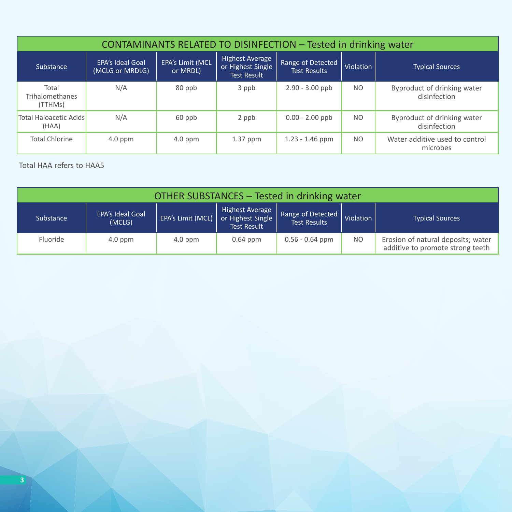| CONTAMINANTS RELATED TO DISINFECTION - Tested in drinking water |                                            |                                     |                                                            |                                          |                |                                             |  |  |  |
|-----------------------------------------------------------------|--------------------------------------------|-------------------------------------|------------------------------------------------------------|------------------------------------------|----------------|---------------------------------------------|--|--|--|
| Substance                                                       | <b>EPA's Ideal Goal</b><br>(MCLG or MRDLG) | <b>EPA's Limit (MCL</b><br>or MRDL) | Highest Average<br>or Highest Single<br><b>Test Result</b> | Range of Detected<br><b>Test Results</b> | Violation      | <b>Typical Sources</b>                      |  |  |  |
| Total<br>Trihalomethanes<br>(TTHMs)                             | N/A                                        | 80 ppb                              | 3 ppb                                                      | $2.90 - 3.00$ ppb                        | NO.            | Byproduct of drinking water<br>disinfection |  |  |  |
| <b>Total Haloacetic Acids</b><br>(HAA)                          | N/A                                        | 60 ppb                              | 2 ppb                                                      | $0.00 - 2.00$ ppb                        | N <sub>O</sub> | Byproduct of drinking water<br>disinfection |  |  |  |
| <b>Total Chlorine</b>                                           | $4.0$ ppm                                  | $4.0$ ppm                           | $1.37$ ppm                                                 | $1.23 - 1.46$ ppm                        | N <sub>O</sub> | Water additive used to control<br>microbes  |  |  |  |

#### Total HAA refers to HAA5

| OTHER SUBSTANCES - Tested in drinking water                                                                                                                                                                          |           |           |            |                   |                |                                                                        |  |  |
|----------------------------------------------------------------------------------------------------------------------------------------------------------------------------------------------------------------------|-----------|-----------|------------|-------------------|----------------|------------------------------------------------------------------------|--|--|
| Highest Average<br>Range of Detected<br><b>EPA's Ideal Goal</b><br>or Highest Single<br>EPA's Limit (MCL)<br>Violation<br><b>Typical Sources</b><br>Substance<br><b>Test Results</b><br>(MCLG)<br><b>Test Result</b> |           |           |            |                   |                |                                                                        |  |  |
| Fluoride                                                                                                                                                                                                             | $4.0$ ppm | $4.0$ ppm | $0.64$ ppm | $0.56 - 0.64$ ppm | N <sub>O</sub> | Erosion of natural deposits; water<br>additive to promote strong teeth |  |  |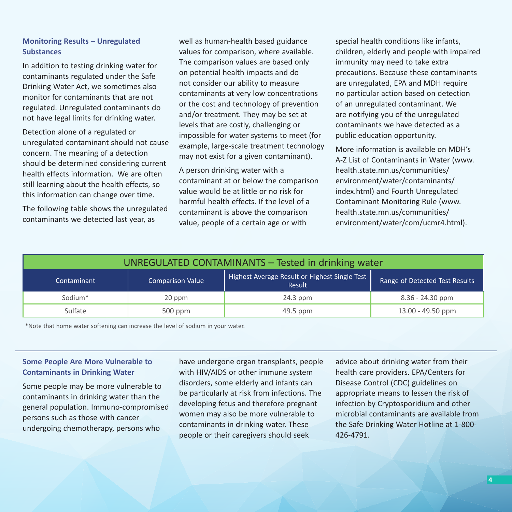#### **Monitoring Results – Unregulated Substances**

In addition to testing drinking water for contaminants regulated under the Safe Drinking Water Act, we sometimes also monitor for contaminants that are not regulated. Unregulated contaminants do not have legal limits for drinking water.

Detection alone of a regulated or unregulated contaminant should not cause concern. The meaning of a detection should be determined considering current health effects information. We are often still learning about the health effects, so this information can change over time.

The following table shows the unregulated contaminants we detected last year, as

well as human-health based guidance values for comparison, where available. The comparison values are based only on potential health impacts and do not consider our ability to measure contaminants at very low concentrations or the cost and technology of prevention and/or treatment. They may be set at levels that are costly, challenging or impossible for water systems to meet (for example, large-scale treatment technology may not exist for a given contaminant).

A person drinking water with a contaminant at or below the comparison value would be at little or no risk for harmful health effects. If the level of a contaminant is above the comparison value, people of a certain age or with

special health conditions like infants, children, elderly and people with impaired immunity may need to take extra precautions. Because these contaminants are unregulated, EPA and MDH require no particular action based on detection of an unregulated contaminant. We are notifying you of the unregulated contaminants we have detected as a public education opportunity.

More information is available on MDH's A-Z List of Contaminants in Water (www. health.state.mn.us/communities/ environment/water/contaminants/ index.html) and Fourth Unregulated Contaminant Monitoring Rule (www. health.state.mn.us/communities/ environment/water/com/ucmr4.html).

| UNREGULATED CONTAMINANTS - Tested in drinking water                                                                                 |           |            |                     |  |  |  |  |
|-------------------------------------------------------------------------------------------------------------------------------------|-----------|------------|---------------------|--|--|--|--|
| Highest Average Result or Highest Single Test<br>Range of Detected Test Results<br><b>Comparison Value</b><br>Contaminant<br>Result |           |            |                     |  |  |  |  |
| Sodium <sup>*</sup>                                                                                                                 | 20 ppm    | $24.3$ ppm | $8.36 - 24.30$ ppm  |  |  |  |  |
| Sulfate                                                                                                                             | $500$ ppm | 49.5 ppm   | $13.00 - 49.50$ ppm |  |  |  |  |

\*Note that home water softening can increase the level of sodium in your water.

#### **Some People Are More Vulnerable to Contaminants in Drinking Water**

Some people may be more vulnerable to contaminants in drinking water than the general population. Immuno-compromised persons such as those with cancer undergoing chemotherapy, persons who

have undergone organ transplants, people with HIV/AIDS or other immune system disorders, some elderly and infants can be particularly at risk from infections. The developing fetus and therefore pregnant women may also be more vulnerable to contaminants in drinking water. These people or their caregivers should seek

advice about drinking water from their health care providers. EPA/Centers for Disease Control (CDC) guidelines on appropriate means to lessen the risk of infection by Cryptosporidium and other microbial contaminants are available from the Safe Drinking Water Hotline at 1-800- 426-4791.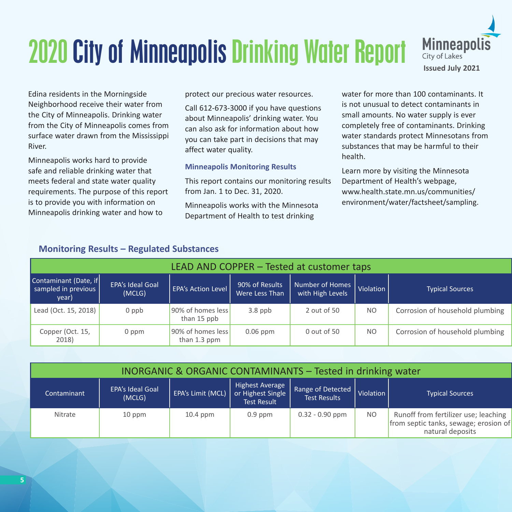## 2020 City of Minneapolis Drinking Water Report



Edina residents in the Morningside Neighborhood receive their water from the City of Minneapolis. Drinking water from the City of Minneapolis comes from surface water drawn from the Mississippi River.

Minneapolis works hard to provide safe and reliable drinking water that meets federal and state water quality requirements. The purpose of this report is to provide you with information on Minneapolis drinking water and how to

protect our precious water resources.

Call 612-673-3000 if you have questions about Minneapolis' drinking water. You can also ask for information about how you can take part in decisions that may affect water quality.

#### **Minneapolis Monitoring Results**

This report contains our monitoring results from Jan. 1 to Dec. 31, 2020.

Minneapolis works with the Minnesota Department of Health to test drinking

water for more than 100 contaminants. It is not unusual to detect contaminants in small amounts. No water supply is ever completely free of contaminants. Drinking water standards protect Minnesotans from substances that may be harmful to their health.

Learn more by visiting the Minnesota Department of Health's webpage, www.health.state.mn.us/communities/ environment/water/factsheet/sampling.

|  | <b>Monitoring Results - Regulated Substances</b> |  |
|--|--------------------------------------------------|--|
|--|--------------------------------------------------|--|

| LEAD AND COPPER - Tested at customer taps             |                                   |                                   |                                  |                                     |           |                                 |  |  |  |
|-------------------------------------------------------|-----------------------------------|-----------------------------------|----------------------------------|-------------------------------------|-----------|---------------------------------|--|--|--|
| Contaminant (Date, if<br>sampled in previous<br>year) | <b>EPA's Ideal Goal</b><br>(MCLG) | <b>EPA's Action Level</b>         | 90% of Results<br>Were Less Than | Number of Homes<br>with High Levels | Violation | <b>Typical Sources</b>          |  |  |  |
| Lead (Oct. 15, 2018)                                  | $0$ ppb                           | 90% of homes less<br>than 15 ppb  | $3.8$ ppb                        | 2 out of 50                         | NO.       | Corrosion of household plumbing |  |  |  |
| Copper (Oct. 15,<br>2018)                             | 0 ppm                             | 90% of homes less<br>than 1.3 ppm | $0.06$ ppm                       | 0 out of 50                         | NO.       | Corrosion of household plumbing |  |  |  |

| <b>INORGANIC &amp; ORGANIC CONTAMINANTS - Tested in drinking water</b> |                                   |            |                                                                                |                                          |                |                                                                                                   |  |  |  |
|------------------------------------------------------------------------|-----------------------------------|------------|--------------------------------------------------------------------------------|------------------------------------------|----------------|---------------------------------------------------------------------------------------------------|--|--|--|
| Contaminant                                                            | <b>EPA's Ideal Goal</b><br>(MCLG) |            | Highest Average<br>EPA's Limit (MCL)   or Highest Single<br><b>Test Result</b> | Range of Detected<br><b>Test Results</b> | Violation      | <b>Typical Sources</b>                                                                            |  |  |  |
| Nitrate                                                                | 10 ppm                            | $10.4$ ppm | $0.9$ ppm                                                                      | $0.32 - 0.90$ ppm                        | N <sub>O</sub> | Runoff from fertilizer use; leaching<br>from septic tanks, sewage; erosion of<br>natural deposits |  |  |  |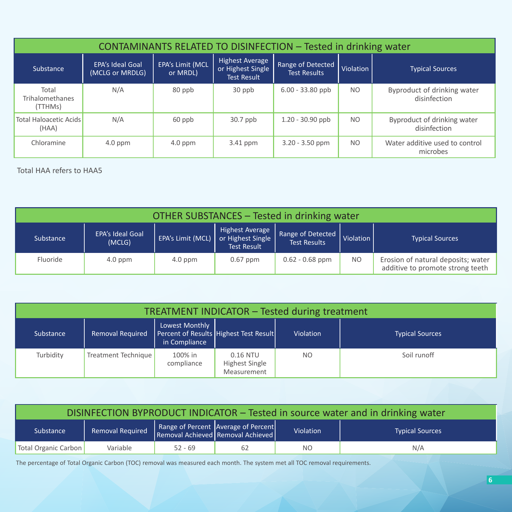| CONTAMINANTS RELATED TO DISINFECTION - Tested in drinking water |                                            |                              |                                                                   |                                          |                |                                             |  |  |  |
|-----------------------------------------------------------------|--------------------------------------------|------------------------------|-------------------------------------------------------------------|------------------------------------------|----------------|---------------------------------------------|--|--|--|
| Substance                                                       | <b>EPA's Ideal Goal</b><br>(MCLG or MRDLG) | EPA's Limit (MCL<br>or MRDL) | <b>Highest Average</b><br>or Highest Single<br><b>Test Result</b> | Range of Detected<br><b>Test Results</b> | Violation      | <b>Typical Sources</b>                      |  |  |  |
| Total<br><b>Trihalomethanes</b><br>(TTHMs)                      | N/A                                        | 80 ppb                       | 30 ppb                                                            | $6.00 - 33.80$ ppb                       | N <sub>O</sub> | Byproduct of drinking water<br>disinfection |  |  |  |
| <b>Total Haloacetic Acids</b><br>(HAA)                          | N/A                                        | 60 ppb                       | $30.7$ ppb                                                        | $1.20 - 30.90$ ppb                       | N <sub>O</sub> | Byproduct of drinking water<br>disinfection |  |  |  |
| Chloramine                                                      | $4.0$ ppm                                  | $4.0$ ppm                    | $3.41$ ppm                                                        | $3.20 - 3.50$ ppm                        | N <sub>O</sub> | Water additive used to control<br>microbes  |  |  |  |

Total HAA refers to HAA5

| OTHER SUBSTANCES - Tested in drinking water |                                   |                   |                                                            |                                          |                |                                                                        |  |  |
|---------------------------------------------|-----------------------------------|-------------------|------------------------------------------------------------|------------------------------------------|----------------|------------------------------------------------------------------------|--|--|
| Substance                                   | <b>EPA's Ideal Goal</b><br>(MCLG) | EPA's Limit (MCL) | Highest Average<br>or Highest Single<br><b>Test Result</b> | Range of Detected<br><b>Test Results</b> | Violation      | <b>Typical Sources</b>                                                 |  |  |
| Fluoride                                    | $4.0$ ppm                         | $4.0$ ppm         | $0.67$ ppm                                                 | $0.62 - 0.68$ ppm                        | N <sub>O</sub> | Erosion of natural deposits; water<br>additive to promote strong teeth |  |  |

| TREATMENT INDICATOR - Tested during treatment |                     |                                 |                                           |           |                        |  |  |  |
|-----------------------------------------------|---------------------|---------------------------------|-------------------------------------------|-----------|------------------------|--|--|--|
| Substance                                     | Removal Required    | Lowest Monthly<br>in Compliance | Percent of Results Highest Test Result    | Violation | <b>Typical Sources</b> |  |  |  |
| Turbidity                                     | Treatment Technique | 100% in<br>compliance           | 0.16 NTU<br>Highest Single<br>Measurement | NO.       | Soil runoff            |  |  |  |

| DISINFECTION BYPRODUCT INDICATOR - Tested in source water and in drinking water |                                                                                                       |           |    |     |     |  |  |  |
|---------------------------------------------------------------------------------|-------------------------------------------------------------------------------------------------------|-----------|----|-----|-----|--|--|--|
| Substance                                                                       | Range of Percent Average of Percent<br><b>Removal Required</b><br>Violation<br><b>Typical Sources</b> |           |    |     |     |  |  |  |
| Total Organic Carbon                                                            | Variable                                                                                              | $52 - 69$ | 62 | NO. | N/A |  |  |  |

The percentage of Total Organic Carbon (TOC) removal was measured each month. The system met all TOC removal requirements.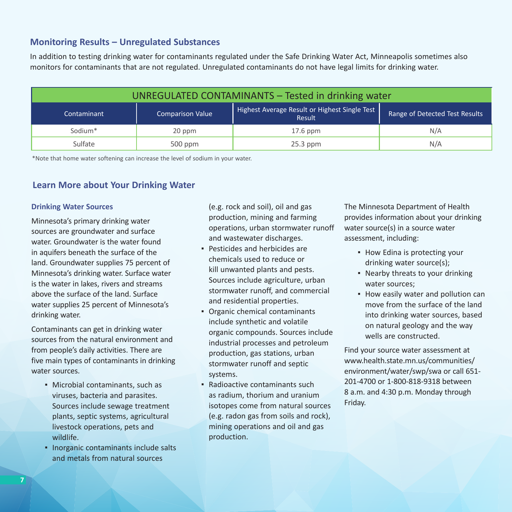#### **Monitoring Results – Unregulated Substances**

In addition to testing drinking water for contaminants regulated under the Safe Drinking Water Act, Minneapolis sometimes also monitors for contaminants that are not regulated. Unregulated contaminants do not have legal limits for drinking water.

| UNREGULATED CONTAMINANTS - Tested in drinking water |                         |                                                         |                                |
|-----------------------------------------------------|-------------------------|---------------------------------------------------------|--------------------------------|
| Contaminant                                         | <b>Comparison Value</b> | Highest Average Result or Highest Single Test<br>Result | Range of Detected Test Results |
| Sodium <sup>*</sup>                                 | 20 ppm                  | $17.6$ ppm                                              | N/A                            |
| Sulfate                                             | $500$ ppm               | $25.3$ ppm                                              | N/A                            |

\*Note that home water softening can increase the level of sodium in your water.

#### **Learn More about Your Drinking Water**

#### **Drinking Water Sources**

Minnesota's primary drinking water sources are groundwater and surface water. Groundwater is the water found in aquifers beneath the surface of the land. Groundwater supplies 75 percent of Minnesota's drinking water. Surface water is the water in lakes, rivers and streams above the surface of the land. Surface water supplies 25 percent of Minnesota's drinking water.

Contaminants can get in drinking water sources from the natural environment and from people's daily activities. There are five main types of contaminants in drinking water sources.

- Microbial contaminants, such as viruses, bacteria and parasites. Sources include sewage treatment plants, septic systems, agricultural livestock operations, pets and wildlife.
- **.** Inorganic contaminants include salts and metals from natural sources

(e.g. rock and soil), oil and gas production, mining and farming operations, urban stormwater runoff and wastewater discharges.

- **Pesticides and herbicides are** chemicals used to reduce or kill unwanted plants and pests. Sources include agriculture, urban stormwater runoff, and commercial and residential properties.
- Organic chemical contaminants include synthetic and volatile organic compounds. Sources include industrial processes and petroleum production, gas stations, urban stormwater runoff and septic systems.
- $\blacksquare$  Radioactive contaminants such as radium, thorium and uranium isotopes come from natural sources (e.g. radon gas from soils and rock), mining operations and oil and gas production.

The Minnesota Department of Health provides information about your drinking water source(s) in a source water assessment, including:

- **How Edina is protecting your** drinking water source(s);
- Nearby threats to your drinking water sources;
- **.** How easily water and pollution can move from the surface of the land into drinking water sources, based on natural geology and the way wells are constructed.

Find your source water assessment at www.health.state.mn.us/communities/ environment/water/swp/swa or call 651- 201-4700 or 1-800-818-9318 between 8 a.m. and 4:30 p.m. Monday through Friday.